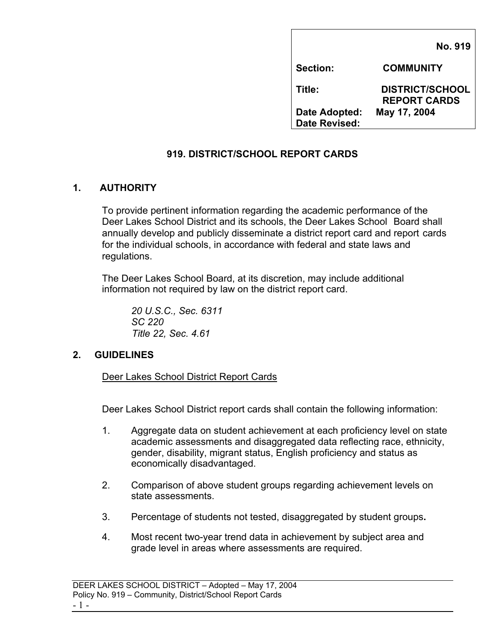|                                | <b>No. 919</b>                                |
|--------------------------------|-----------------------------------------------|
| <b>Section:</b>                | <b>COMMUNITY</b>                              |
| Title:                         | <b>DISTRICT/SCHOOL</b><br><b>REPORT CARDS</b> |
| Date Adopted:<br>Date Revised: | May 17, 2004                                  |

## **919. DISTRICT/SCHOOL REPORT CARDS**

## **1. AUTHORITY**

To provide pertinent information regarding the academic performance of the Deer Lakes School District and its schools, the Deer Lakes School Board shall annually develop and publicly disseminate a district report card and report cards for the individual schools, in accordance with federal and state laws and regulations.

 The Deer Lakes School Board, at its discretion, may include additional information not required by law on the district report card.

 *20 U.S.C., Sec. 6311 SC 220 Title 22, Sec. 4.61* 

#### **2. GUIDELINES**

Deer Lakes School District Report Cards

Deer Lakes School District report cards shall contain the following information:

- 1. Aggregate data on student achievement at each proficiency level on state academic assessments and disaggregated data reflecting race, ethnicity, gender, disability, migrant status, English proficiency and status as economically disadvantaged.
- 2. Comparison of above student groups regarding achievement levels on state assessments.
- 3. Percentage of students not tested, disaggregated by student groups**.**
- 4. Most recent two-year trend data in achievement by subject area and grade level in areas where assessments are required.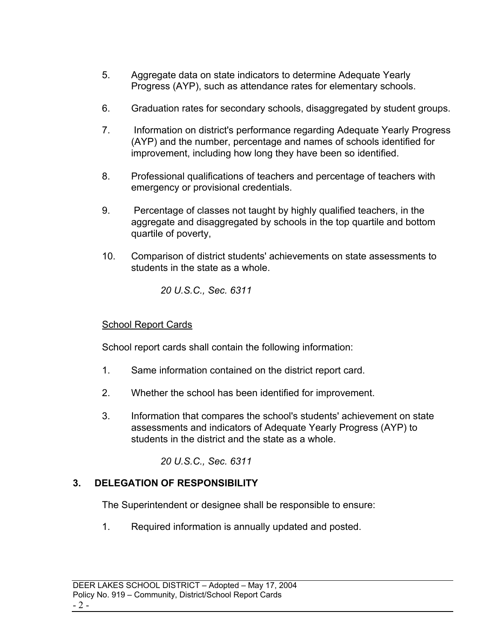- 5. Aggregate data on state indicators to determine Adequate Yearly Progress (AYP), such as attendance rates for elementary schools.
- 6. Graduation rates for secondary schools, disaggregated by student groups.
- 7. Information on district's performance regarding Adequate Yearly Progress (AYP) and the number, percentage and names of schools identified for improvement, including how long they have been so identified.
- 8. Professional qualifications of teachers and percentage of teachers with emergency or provisional credentials.
- 9. Percentage of classes not taught by highly qualified teachers, in the aggregate and disaggregated by schools in the top quartile and bottom quartile of poverty,
- 10. Comparison of district students' achievements on state assessments to students in the state as a whole.

*20 U.S.C., Sec. 6311* 

## **School Report Cards**

School report cards shall contain the following information:

- 1. Same information contained on the district report card.
- 2. Whether the school has been identified for improvement.
- 3. Information that compares the school's students' achievement on state assessments and indicators of Adequate Yearly Progress (AYP) to students in the district and the state as a whole.

*20 U.S.C., Sec. 6311* 

# **3. DELEGATION OF RESPONSIBILITY**

The Superintendent or designee shall be responsible to ensure:

1. Required information is annually updated and posted.